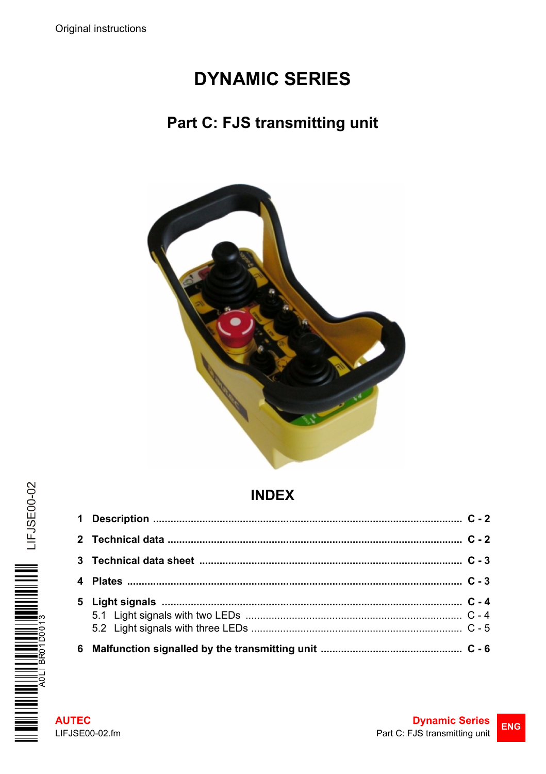# **DYNAMIC SERIES**

# Part C: FJS transmitting unit



# **INDEX**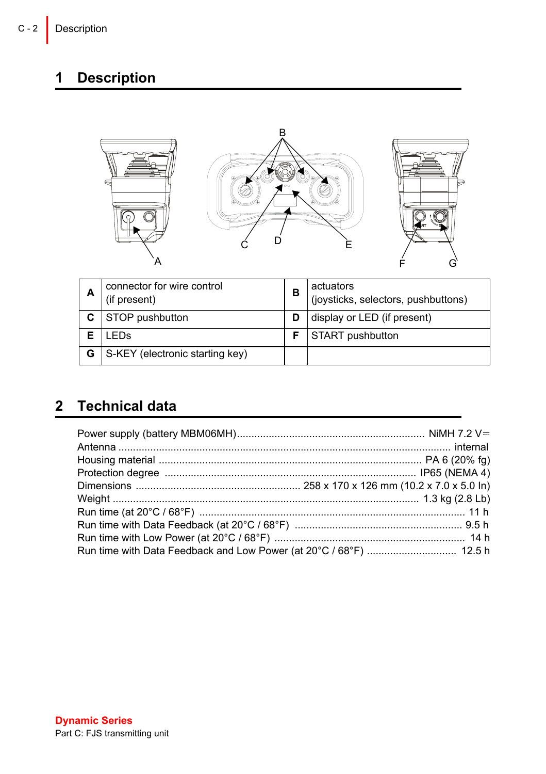### <span id="page-1-0"></span>**1 Description**

| ۰ | г |   |
|---|---|---|
|   |   | п |

| А | connector for wire control<br>(if present) | в | actuators<br>(joysticks, selectors, pushbuttons) |
|---|--------------------------------------------|---|--------------------------------------------------|
|   | STOP pushbutton                            |   | display or LED (if present)                      |
|   | LEDs                                       |   | START pushbutton                                 |
| G | S-KEY (electronic starting key)            |   |                                                  |

# <span id="page-1-1"></span>**2 Technical data**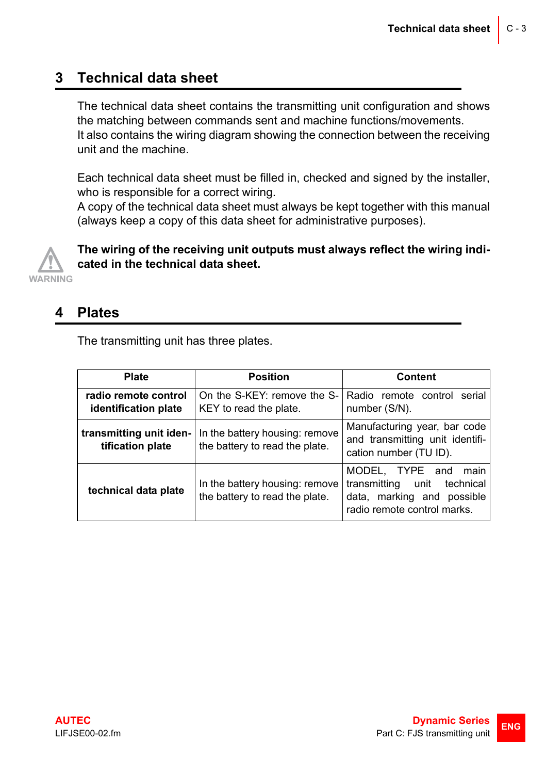### <span id="page-2-0"></span>**3 Technical data sheet**

The technical data sheet contains the transmitting unit configuration and shows the matching between commands sent and machine functions/movements. It also contains the wiring diagram showing the connection between the receiving unit and the machine.

Each technical data sheet must be filled in, checked and signed by the installer, who is responsible for a correct wiring.

A copy of the technical data sheet must always be kept together with this manual (always keep a copy of this data sheet for administrative purposes).



**The wiring of the receiving unit outputs must always reflect the wiring indicated in the technical data sheet.**

#### <span id="page-2-1"></span>**4 Plates**

The transmitting unit has three plates.

| <b>Plate</b>                                 | <b>Position</b>                                                  | Content                                                                                                                   |  |
|----------------------------------------------|------------------------------------------------------------------|---------------------------------------------------------------------------------------------------------------------------|--|
| radio remote control<br>identification plate | On the S-KEY: remove the S-<br>KEY to read the plate.            | Radio remote control<br>serial<br>number (S/N).                                                                           |  |
| transmitting unit iden-<br>tification plate  | In the battery housing: remove<br>the battery to read the plate. | Manufacturing year, bar code<br>and transmitting unit identifi-<br>cation number (TU ID).                                 |  |
| technical data plate                         | In the battery housing: remove<br>the battery to read the plate. | MODEL, TYPE and<br>main<br>transmitting<br>unit<br>technical<br>data, marking and possible<br>radio remote control marks. |  |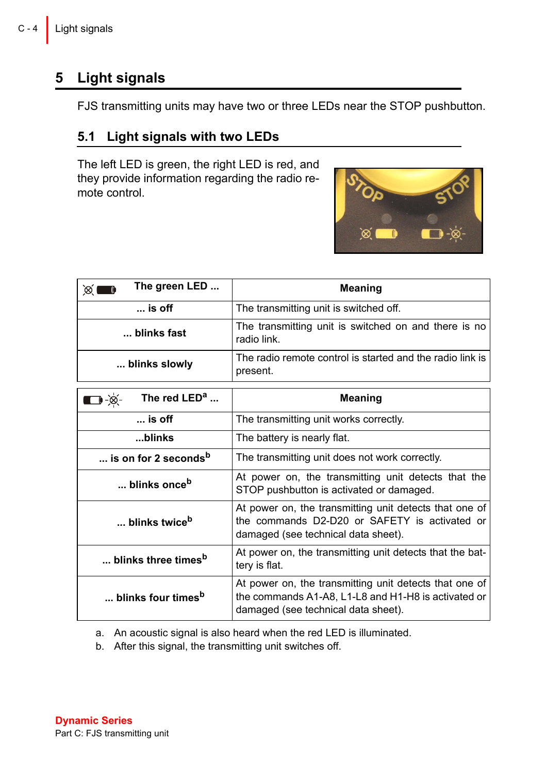### <span id="page-3-0"></span>**5 Light signals**

FJS transmitting units may have two or three LEDs near the STOP pushbutton.

#### <span id="page-3-1"></span>**5.1 Light signals with two LEDs**

The left LED is green, the right LED is red, and they provide information regarding the radio remote control.



| The green LED<br>œ.                   | <b>Meaning</b>                                                                                                                                       |  |
|---------------------------------------|------------------------------------------------------------------------------------------------------------------------------------------------------|--|
| $\ldots$ is off                       | The transmitting unit is switched off.                                                                                                               |  |
| blinks fast                           | The transmitting unit is switched on and there is no<br>radio link                                                                                   |  |
| blinks slowly                         | The radio remote control is started and the radio link is<br>present.                                                                                |  |
| $\dot{\mathcal{B}}$<br>The red $LEDa$ | Meaning                                                                                                                                              |  |
| $\ldots$ is off                       | The transmitting unit works correctly.                                                                                                               |  |
| blinks                                | The battery is nearly flat.                                                                                                                          |  |
| is on for 2 seconds <sup>b</sup>      | The transmitting unit does not work correctly.                                                                                                       |  |
| blinks once <sup>b</sup>              | At power on, the transmitting unit detects that the<br>STOP pushbutton is activated or damaged.                                                      |  |
| blinks twice <sup>b</sup>             | At power on, the transmitting unit detects that one of<br>the commands D2-D20 or SAFETY is activated or<br>damaged (see technical data sheet).       |  |
| blinks three times <sup>b</sup>       | At power on, the transmitting unit detects that the bat-<br>tery is flat.                                                                            |  |
| blinks four times <sup>b</sup>        | At power on, the transmitting unit detects that one of<br>the commands A1-A8, L1-L8 and H1-H8 is activated or<br>damaged (see technical data sheet). |  |

a. An acoustic signal is also heard when the red LED is illuminated.

b. After this signal, the transmitting unit switches off.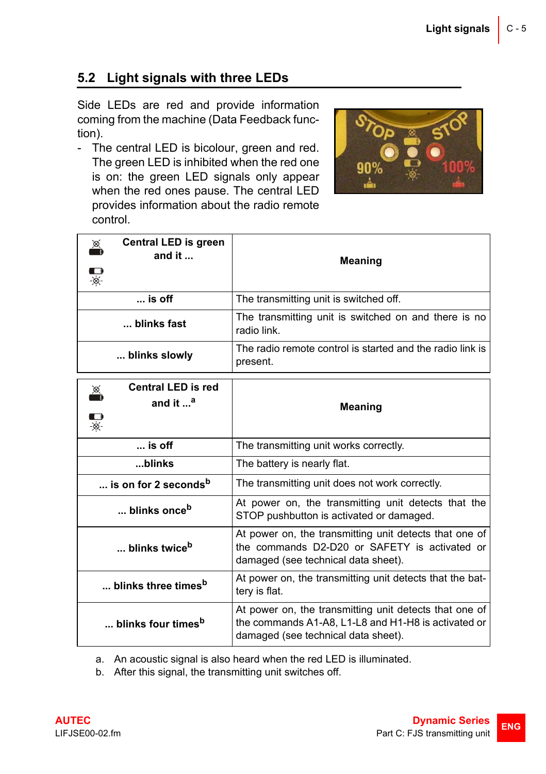#### <span id="page-4-0"></span>**5.2 Light signals with three LEDs**

Side LEDs are red and provide information coming from the machine (Data Feedback function).

- The central LED is bicolour, green and red. The green LED is inhibited when the red one is on: the green LED signals only appear when the red ones pause. The central LED provides information about the radio remote control.



| Central LED is green<br>œ.<br>and it $\dots$ | <b>Meaning</b>                                                                                                                                       |  |
|----------------------------------------------|------------------------------------------------------------------------------------------------------------------------------------------------------|--|
|                                              |                                                                                                                                                      |  |
| $\ldots$ is off                              | The transmitting unit is switched off.                                                                                                               |  |
| blinks fast                                  | The transmitting unit is switched on and there is no<br>radio link                                                                                   |  |
| blinks slowly                                | The radio remote control is started and the radio link is<br>present.                                                                                |  |
| <b>Central LED is red</b><br>Ă               |                                                                                                                                                      |  |
| and it a                                     | <b>Meaning</b>                                                                                                                                       |  |
| $\frac{1}{\infty}$                           |                                                                                                                                                      |  |
| $$ is off                                    | The transmitting unit works correctly.                                                                                                               |  |
| blinks                                       | The battery is nearly flat.                                                                                                                          |  |
| is on for 2 seconds <sup>b</sup>             | The transmitting unit does not work correctly.                                                                                                       |  |
| blinks once <sup>b</sup>                     | At power on, the transmitting unit detects that the<br>STOP pushbutton is activated or damaged.                                                      |  |
| blinks twice <sup>b</sup>                    | At power on, the transmitting unit detects that one of<br>the commands D2-D20 or SAFETY is activated or<br>damaged (see technical data sheet).       |  |
| blinks three times <sup>b</sup>              | At power on, the transmitting unit detects that the bat-<br>tery is flat.                                                                            |  |
| blinks four times <sup>b</sup>               | At power on, the transmitting unit detects that one of<br>the commands A1-A8, L1-L8 and H1-H8 is activated or<br>damaged (see technical data sheet). |  |

a. An acoustic signal is also heard when the red LED is illuminated.

b. After this signal, the transmitting unit switches off.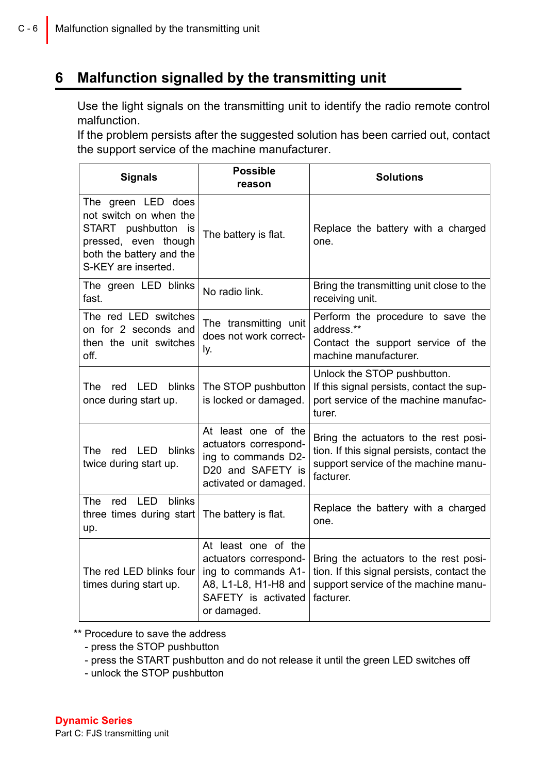### <span id="page-5-0"></span>**6 Malfunction signalled by the transmitting unit**

Use the light signals on the transmitting unit to identify the radio remote control malfunction.

If the problem persists after the suggested solution has been carried out, contact the support service of the machine manufacturer.

| <b>Signals</b>                                                                                                                                    | <b>Possible</b><br>reason                                                                                                         | <b>Solutions</b>                                                                                                                         |
|---------------------------------------------------------------------------------------------------------------------------------------------------|-----------------------------------------------------------------------------------------------------------------------------------|------------------------------------------------------------------------------------------------------------------------------------------|
| The green LED does<br>not switch on when the<br>START pushbutton<br>is<br>pressed, even though<br>both the battery and the<br>S-KEY are inserted. | The battery is flat.                                                                                                              | Replace the battery with a charged<br>one.                                                                                               |
| The green LED blinks<br>fast.                                                                                                                     | No radio link.                                                                                                                    | Bring the transmitting unit close to the<br>receiving unit.                                                                              |
| The red LED switches<br>on for 2 seconds and<br>then the unit switches<br>off.                                                                    | The transmitting unit<br>does not work correct-<br>ly.                                                                            | Perform the procedure to save the<br>address.**<br>Contact the support service of the<br>machine manufacturer.                           |
| <b>LED</b><br>blinks<br>The<br>red<br>once during start up.                                                                                       | The STOP pushbutton<br>is locked or damaged.                                                                                      | Unlock the STOP pushbutton.<br>If this signal persists, contact the sup-<br>port service of the machine manufac-<br>turer.               |
| red LED<br>blinks<br>The<br>twice during start up.                                                                                                | At least one of the<br>actuators correspond-<br>ing to commands D2-<br>D20 and SAFETY is<br>activated or damaged.                 | Bring the actuators to the rest posi-<br>tion. If this signal persists, contact the<br>support service of the machine manu-<br>facturer. |
| LED<br>blinks<br>The<br>red<br>three times during start<br>up.                                                                                    | The battery is flat.                                                                                                              | Replace the battery with a charged<br>one.                                                                                               |
| The red LED blinks four<br>times during start up.                                                                                                 | At least one of the<br>actuators correspond-<br>ing to commands A1-<br>A8, L1-L8, H1-H8 and<br>SAFETY is activated<br>or damaged. | Bring the actuators to the rest posi-<br>tion. If this signal persists, contact the<br>support service of the machine manu-<br>facturer. |

\*\* Procedure to save the address

- press the STOP pushbutton
- press the START pushbutton and do not release it until the green LED switches off
- unlock the STOP pushbutton